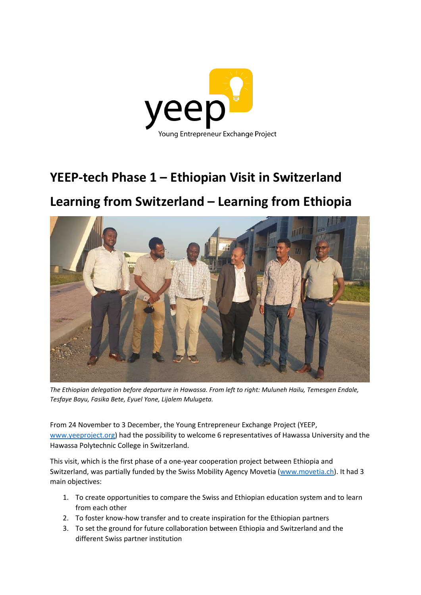

# **YEEP-tech Phase 1 – Ethiopian Visit in Switzerland**

# **Learning from Switzerland – Learning from Ethiopia**



*The Ethiopian delegation before departure in Hawassa. From left to right: Muluneh Hailu, Temesgen Endale, Tesfaye Bayu, Fasika Bete, Eyuel Yone, Lijalem Mulugeta.*

From 24 November to 3 December, the Young Entrepreneur Exchange Project (YEEP, [www.yeeproject.org\)](http://www.yeeproject.org/) had the possibility to welcome 6 representatives of Hawassa University and the Hawassa Polytechnic College in Switzerland.

This visit, which is the first phase of a one-year cooperation project between Ethiopia and Switzerland, was partially funded by the Swiss Mobility Agency Movetia [\(www.movetia.ch\)](http://www.movetia.ch/). It had 3 main objectives:

- 1. To create opportunities to compare the Swiss and Ethiopian education system and to learn from each other
- 2. To foster know-how transfer and to create inspiration for the Ethiopian partners
- 3. To set the ground for future collaboration between Ethiopia and Switzerland and the different Swiss partner institution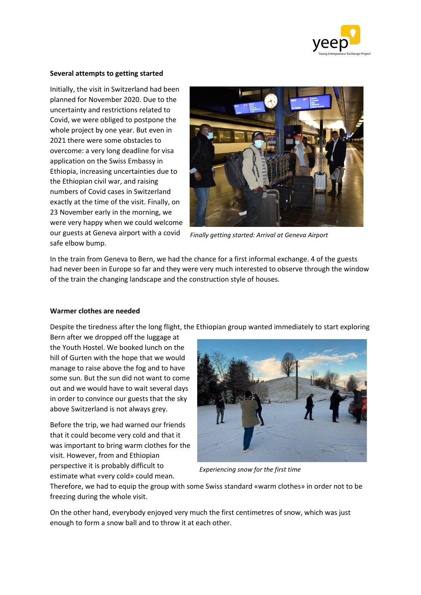

# **Several attempts to getting started**

Initially, the visit in Switzerland had been planned for November 2020. Due to the uncertainty and restrictions related to Covid, we were obliged to postpone the whole project by one year. But even in 2021 there were some obstacles to overcome: a very long deadline for visa application on the Swiss Embassy in Ethiopia, increasing uncertainties due to the Ethiopian civil war, and raising numbers of Covid cases in Switzerland exactly at the time of the visit. Finally, on 23 November early in the morning, we were very happy when we could welcome our guests at Geneva airport with a covid safe elbow bump.



*Finally getting started: Arrival at Geneva Airport*

In the train from Geneva to Bern, we had the chance for a first informal exchange. 4 of the guests had never been in Europe so far and they were very much interested to observe through the window of the train the changing landscape and the construction style of houses.

# **Warmer clothes are needed**

Despite the tiredness after the long flight, the Ethiopian group wanted immediately to start exploring

Bern after we dropped off the luggage at the Youth Hostel. We booked lunch on the hill of Gurten with the hope that we would manage to raise above the fog and to have some sun. But the sun did not want to come out and we would have to wait several days in order to convince our guests that the sky above Switzerland is not always grey.

Before the trip, we had warned our friends that it could become very cold and that it was important to bring warm clothes for the visit. However, from and Ethiopian perspective it is probably difficult to estimate what «very cold» could mean.



*Experiencing snow for the first time*

Therefore, we had to equip the group with some Swiss standard «warm clothes» in order not to be freezing during the whole visit.

On the other hand, everybody enjoyed very much the first centimetres of snow, which was just enough to form a snow ball and to throw it at each other.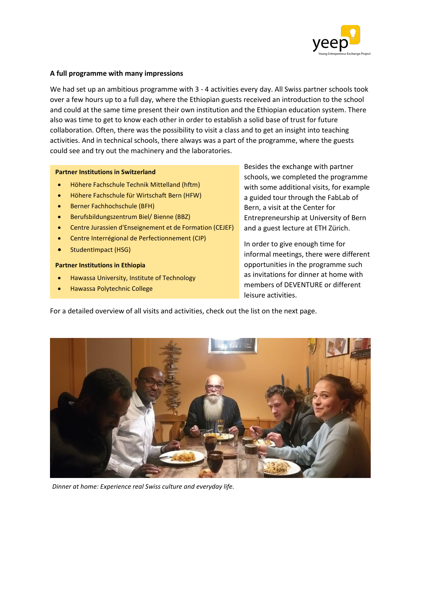

### **A full programme with many impressions**

We had set up an ambitious programme with 3 - 4 activities every day. All Swiss partner schools took over a few hours up to a full day, where the Ethiopian guests received an introduction to the school and could at the same time present their own institution and the Ethiopian education system. There also was time to get to know each other in order to establish a solid base of trust for future collaboration. Often, there was the possibility to visit a class and to get an insight into teaching activities. And in technical schools, there always was a part of the programme, where the guests could see and try out the machinery and the laboratories.

#### **Partner Institutions in Switzerland**

- Höhere Fachschule Technik Mittelland (hftm)
- Höhere Fachschule für Wirtschaft Bern (HFW)
- Berner Fachhochschule (BFH)
- Berufsbildungszentrum Biel/ Bienne (BBZ)
- Centre Jurassien d'Enseignement et de Formation (CEJEF)
- Centre Interrégional de Perfectionnement (CIP)
- StudentImpact (HSG)

### **Partner Institutions in Ethiopia**

- Hawassa University, Institute of Technology
- Hawassa Polytechnic College

Besides the exchange with partner schools, we completed the programme with some additional visits, for example a guided tour through the FabLab of Bern, a visit at the Center for Entrepreneurship at University of Bern and a guest lecture at ETH Zürich.

In order to give enough time for informal meetings, there were different opportunities in the programme such as invitations for dinner at home with members of DEVENTURE or different leisure activities.

For a detailed overview of all visits and activities, check out the list on the next page.



*Dinner at home: Experience real Swiss culture and everyday life.*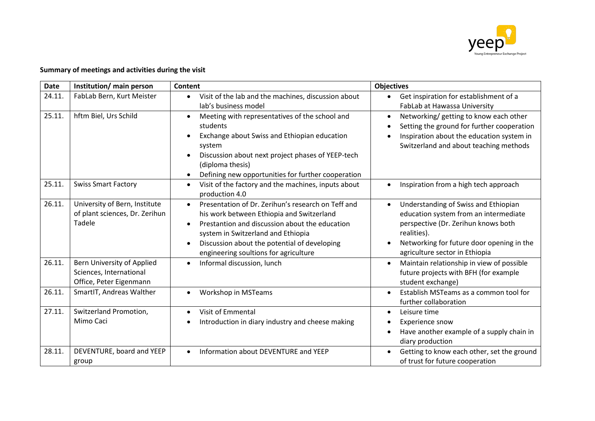

# **Summary of meetings and activities during the visit**

| <b>Date</b> | Institution/ main person                                                         | Content                                                                                                                                                                                                                                                                                                                 | <b>Objectives</b>                                                                                                                                                                                                  |
|-------------|----------------------------------------------------------------------------------|-------------------------------------------------------------------------------------------------------------------------------------------------------------------------------------------------------------------------------------------------------------------------------------------------------------------------|--------------------------------------------------------------------------------------------------------------------------------------------------------------------------------------------------------------------|
| 24.11.      | FabLab Bern, Kurt Meister                                                        | Visit of the lab and the machines, discussion about<br>$\bullet$<br>lab's business model                                                                                                                                                                                                                                | Get inspiration for establishment of a<br>FabLab at Hawassa University                                                                                                                                             |
| 25.11.      | hftm Biel, Urs Schild                                                            | Meeting with representatives of the school and<br>$\bullet$<br>students<br>Exchange about Swiss and Ethiopian education<br>system<br>Discussion about next project phases of YEEP-tech<br>(diploma thesis)<br>Defining new opportunities for further cooperation<br>$\bullet$                                           | Networking/ getting to know each other<br>Setting the ground for further cooperation<br>Inspiration about the education system in<br>Switzerland and about teaching methods                                        |
| 25.11.      | <b>Swiss Smart Factory</b>                                                       | Visit of the factory and the machines, inputs about<br>$\bullet$<br>production 4.0                                                                                                                                                                                                                                      | Inspiration from a high tech approach                                                                                                                                                                              |
| 26.11.      | University of Bern, Institute<br>of plant sciences, Dr. Zerihun<br>Tadele        | Presentation of Dr. Zerihun's research on Teff and<br>$\bullet$<br>his work between Ethiopia and Switzerland<br>Prestantion and discussion about the education<br>$\bullet$<br>system in Switzerland and Ethiopia<br>Discussion about the potential of developing<br>$\bullet$<br>engineering soultions for agriculture | Understanding of Swiss and Ethiopian<br>education system from an intermediate<br>perspective (Dr. Zerihun knows both<br>realities).<br>Networking for future door opening in the<br>agriculture sector in Ethiopia |
| 26.11.      | Bern University of Applied<br>Sciences, International<br>Office, Peter Eigenmann | Informal discussion, lunch<br>$\bullet$                                                                                                                                                                                                                                                                                 | Maintain relationship in view of possible<br>$\bullet$<br>future projects with BFH (for example<br>student exchange)                                                                                               |
| 26.11.      | SmartIT, Andreas Walther                                                         | <b>Workshop in MSTeams</b><br>$\bullet$                                                                                                                                                                                                                                                                                 | Establish MSTeams as a common tool for<br>further collaboration                                                                                                                                                    |
| 27.11.      | Switzerland Promotion,<br>Mimo Caci                                              | Visit of Emmental<br>$\bullet$<br>Introduction in diary industry and cheese making                                                                                                                                                                                                                                      | Leisure time<br>Experience snow<br>Have another example of a supply chain in<br>diary production                                                                                                                   |
| 28.11.      | DEVENTURE, board and YEEP<br>group                                               | Information about DEVENTURE and YEEP                                                                                                                                                                                                                                                                                    | Getting to know each other, set the ground<br>of trust for future cooperation                                                                                                                                      |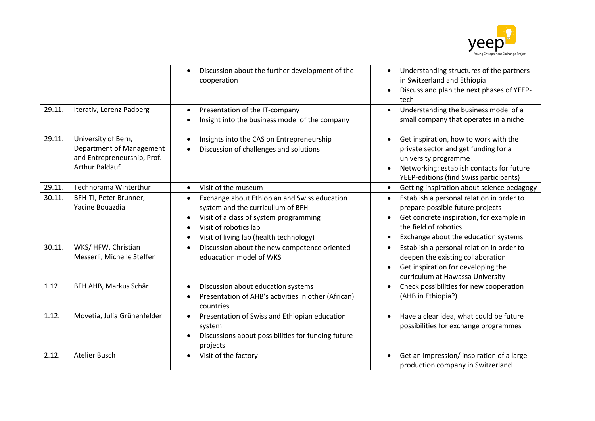

|        |                                                                                                         | Discussion about the further development of the<br>cooperation                                                                                                                                               | Understanding structures of the partners<br>$\bullet$<br>in Switzerland and Ethiopia<br>Discuss and plan the next phases of YEEP-<br>tech                                                               |
|--------|---------------------------------------------------------------------------------------------------------|--------------------------------------------------------------------------------------------------------------------------------------------------------------------------------------------------------------|---------------------------------------------------------------------------------------------------------------------------------------------------------------------------------------------------------|
| 29.11. | Iterativ, Lorenz Padberg                                                                                | Presentation of the IT-company<br>Insight into the business model of the company                                                                                                                             | Understanding the business model of a<br>small company that operates in a niche                                                                                                                         |
| 29.11. | University of Bern,<br>Department of Management<br>and Entrepreneurship, Prof.<br><b>Arthur Baldauf</b> | Insights into the CAS on Entrepreneurship<br>Discussion of challenges and solutions                                                                                                                          | Get inspiration, how to work with the<br>private sector and get funding for a<br>university programme<br>Networking: establish contacts for future<br>YEEP-editions (find Swiss participants)           |
| 29.11. | Technorama Winterthur                                                                                   | Visit of the museum<br>$\bullet$                                                                                                                                                                             | Getting inspiration about science pedagogy<br>$\bullet$                                                                                                                                                 |
| 30.11. | BFH-TI, Peter Brunner,<br>Yacine Bouazdia                                                               | Exchange about Ethiopian and Swiss education<br>$\bullet$<br>system and the curricullum of BFH<br>Visit of a class of system programming<br>Visit of robotics lab<br>Visit of living lab (health technology) | Establish a personal relation in order to<br>$\bullet$<br>prepare possible future projects<br>Get concrete inspiration, for example in<br>the field of robotics<br>Exchange about the education systems |
| 30.11. | WKS/HFW, Christian<br>Messerli, Michelle Steffen                                                        | Discussion about the new competence oriented<br>$\bullet$<br>eduacation model of WKS                                                                                                                         | Establish a personal relation in order to<br>$\bullet$<br>deepen the existing collaboration<br>Get inspiration for developing the<br>curriculum at Hawassa University                                   |
| 1.12.  | BFH AHB, Markus Schär                                                                                   | Discussion about education systems<br>Presentation of AHB's activities in other (African)<br>countries                                                                                                       | Check possibilities for new cooperation<br>$\bullet$<br>(AHB in Ethiopia?)                                                                                                                              |
| 1.12.  | Movetia, Julia Grünenfelder                                                                             | Presentation of Swiss and Ethiopian education<br>$\bullet$<br>system<br>Discussions about possibilities for funding future<br>projects                                                                       | Have a clear idea, what could be future<br>$\bullet$<br>possibilities for exchange programmes                                                                                                           |
| 2.12.  | <b>Atelier Busch</b>                                                                                    | Visit of the factory                                                                                                                                                                                         | Get an impression/ inspiration of a large<br>production company in Switzerland                                                                                                                          |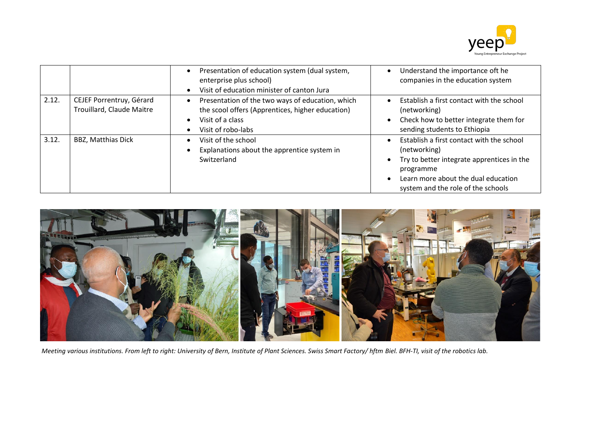

|       |                                                       | Presentation of education system (dual system,<br>enterprise plus school)<br>Visit of education minister of canton Jura                        | Understand the importance oft he<br>companies in the education system                                                                                                                             |
|-------|-------------------------------------------------------|------------------------------------------------------------------------------------------------------------------------------------------------|---------------------------------------------------------------------------------------------------------------------------------------------------------------------------------------------------|
| 2.12. | CEJEF Porrentruy, Gérard<br>Trouillard, Claude Maitre | Presentation of the two ways of education, which<br>the scool offers (Apprentices, higher education)<br>Visit of a class<br>Visit of robo-labs | Establish a first contact with the school<br>(networking)<br>Check how to better integrate them for<br>sending students to Ethiopia                                                               |
| 3.12. | <b>BBZ, Matthias Dick</b>                             | Visit of the school<br>Explanations about the apprentice system in<br>Switzerland                                                              | Establish a first contact with the school<br>(networking)<br>Try to better integrate apprentices in the<br>programme<br>Learn more about the dual education<br>system and the role of the schools |



*Meeting various institutions. From left to right: University of Bern, Institute of Plant Sciences. Swiss Smart Factory/ hftm Biel. BFH-TI, visit of the robotics lab.*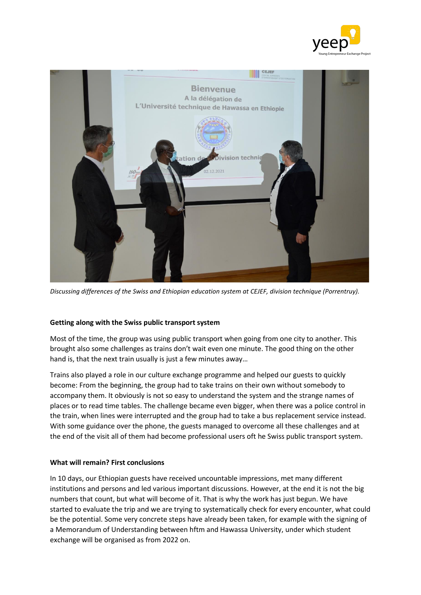



*Discussing differences of the Swiss and Ethiopian education system at CEJEF, division technique (Porrentruy).* 

# **Getting along with the Swiss public transport system**

Most of the time, the group was using public transport when going from one city to another. This brought also some challenges as trains don't wait even one minute. The good thing on the other hand is, that the next train usually is just a few minutes away…

Trains also played a role in our culture exchange programme and helped our guests to quickly become: From the beginning, the group had to take trains on their own without somebody to accompany them. It obviously is not so easy to understand the system and the strange names of places or to read time tables. The challenge became even bigger, when there was a police control in the train, when lines were interrupted and the group had to take a bus replacement service instead. With some guidance over the phone, the guests managed to overcome all these challenges and at the end of the visit all of them had become professional users oft he Swiss public transport system.

# **What will remain? First conclusions**

In 10 days, our Ethiopian guests have received uncountable impressions, met many different institutions and persons and led various important discussions. However, at the end it is not the big numbers that count, but what will become of it. That is why the work has just begun. We have started to evaluate the trip and we are trying to systematically check for every encounter, what could be the potential. Some very concrete steps have already been taken, for example with the signing of a Memorandum of Understanding between hftm and Hawassa University, under which student exchange will be organised as from 2022 on.